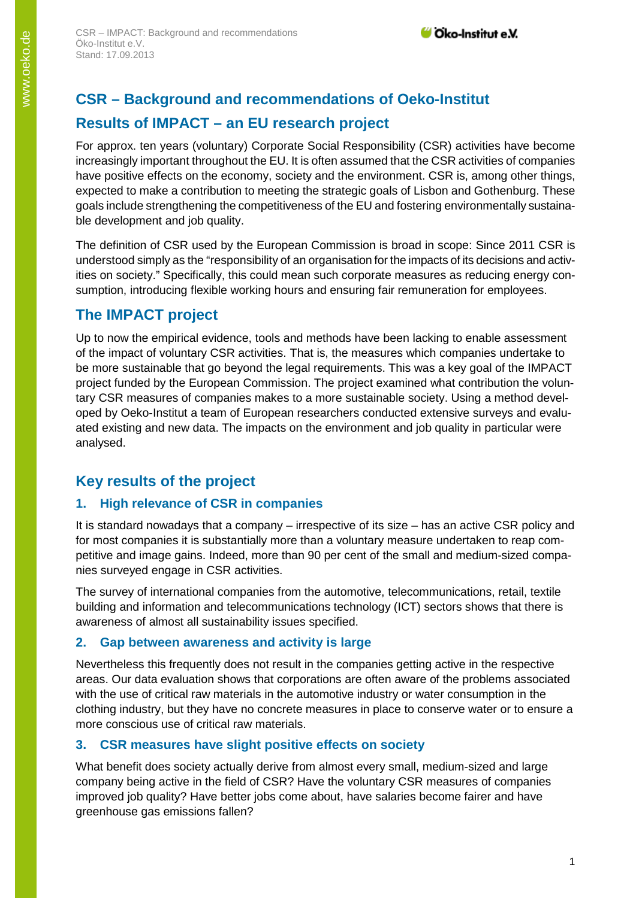# **CSR – Background and recommendations of Oeko-Institut Results of IMPACT – an EU research project**

For approx. ten years (voluntary) Corporate Social Responsibility (CSR) activities have become increasingly important throughout the EU. It is often assumed that the CSR activities of companies have positive effects on the economy, society and the environment. CSR is, among other things, expected to make a contribution to meeting the strategic goals of Lisbon and Gothenburg. These goals include strengthening the competitiveness of the EU and fostering environmentally sustainable development and job quality.

The definition of CSR used by the European Commission is broad in scope: Since 2011 CSR is understood simply as the "responsibility of an organisation for the impacts of its decisions and activities on society." Specifically, this could mean such corporate measures as reducing energy consumption, introducing flexible working hours and ensuring fair remuneration for employees.

# **The IMPACT project**

Up to now the empirical evidence, tools and methods have been lacking to enable assessment of the impact of voluntary CSR activities. That is, the measures which companies undertake to be more sustainable that go beyond the legal requirements. This was a key goal of the IMPACT project funded by the European Commission. The project examined what contribution the voluntary CSR measures of companies makes to a more sustainable society. Using a method developed by Oeko-Institut a team of European researchers conducted extensive surveys and evaluated existing and new data. The impacts on the environment and job quality in particular were analysed.

# **Key results of the project**

#### **1. High relevance of CSR in companies**

It is standard nowadays that a company – irrespective of its size – has an active CSR policy and for most companies it is substantially more than a voluntary measure undertaken to reap competitive and image gains. Indeed, more than 90 per cent of the small and medium-sized companies surveyed engage in CSR activities.

The survey of international companies from the automotive, telecommunications, retail, textile building and information and telecommunications technology (ICT) sectors shows that there is awareness of almost all sustainability issues specified.

#### **2. Gap between awareness and activity is large**

Nevertheless this frequently does not result in the companies getting active in the respective areas. Our data evaluation shows that corporations are often aware of the problems associated with the use of critical raw materials in the automotive industry or water consumption in the clothing industry, but they have no concrete measures in place to conserve water or to ensure a more conscious use of critical raw materials.

#### **3. CSR measures have slight positive effects on society**

What benefit does society actually derive from almost every small, medium-sized and large company being active in the field of CSR? Have the voluntary CSR measures of companies improved job quality? Have better jobs come about, have salaries become fairer and have greenhouse gas emissions fallen?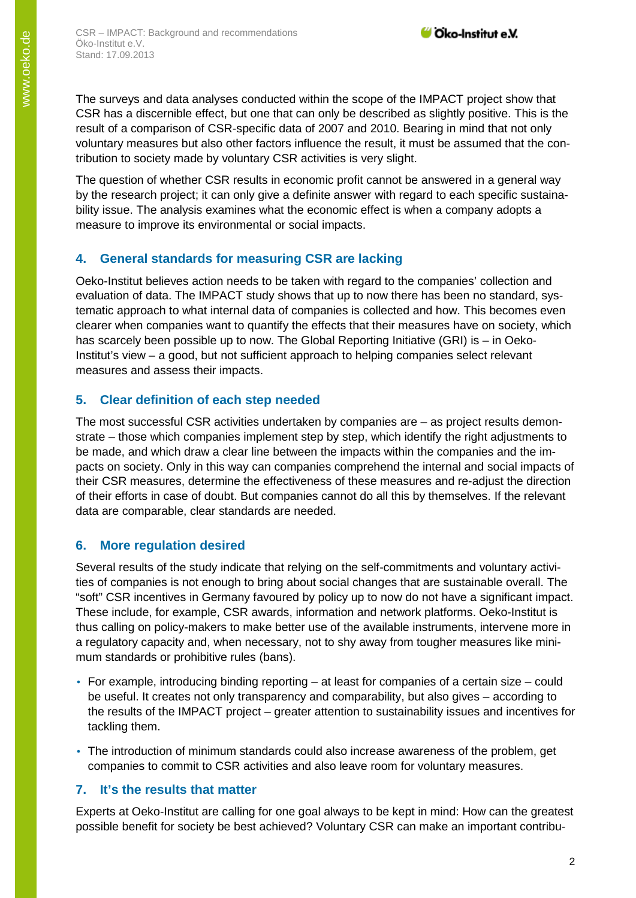The surveys and data analyses conducted within the scope of the IMPACT project show that CSR has a discernible effect, but one that can only be described as slightly positive. This is the result of a comparison of CSR-specific data of 2007 and 2010. Bearing in mind that not only voluntary measures but also other factors influence the result, it must be assumed that the contribution to society made by voluntary CSR activities is very slight.

The question of whether CSR results in economic profit cannot be answered in a general way by the research project; it can only give a definite answer with regard to each specific sustainability issue. The analysis examines what the economic effect is when a company adopts a measure to improve its environmental or social impacts.

## **4. General standards for measuring CSR are lacking**

Oeko-Institut believes action needs to be taken with regard to the companies' collection and evaluation of data. The IMPACT study shows that up to now there has been no standard, systematic approach to what internal data of companies is collected and how. This becomes even clearer when companies want to quantify the effects that their measures have on society, which has scarcely been possible up to now. The Global Reporting Initiative (GRI) is – in Oeko-Institut's view – a good, but not sufficient approach to helping companies select relevant measures and assess their impacts.

## **5. Clear definition of each step needed**

The most successful CSR activities undertaken by companies are – as project results demonstrate – those which companies implement step by step, which identify the right adjustments to be made, and which draw a clear line between the impacts within the companies and the impacts on society. Only in this way can companies comprehend the internal and social impacts of their CSR measures, determine the effectiveness of these measures and re-adjust the direction of their efforts in case of doubt. But companies cannot do all this by themselves. If the relevant data are comparable, clear standards are needed.

## **6. More regulation desired**

Several results of the study indicate that relying on the self-commitments and voluntary activities of companies is not enough to bring about social changes that are sustainable overall. The "soft" CSR incentives in Germany favoured by policy up to now do not have a significant impact. These include, for example, CSR awards, information and network platforms. Oeko-Institut is thus calling on policy-makers to make better use of the available instruments, intervene more in a regulatory capacity and, when necessary, not to shy away from tougher measures like minimum standards or prohibitive rules (bans).

- For example, introducing binding reporting at least for companies of a certain size could be useful. It creates not only transparency and comparability, but also gives – according to the results of the IMPACT project – greater attention to sustainability issues and incentives for tackling them.
- The introduction of minimum standards could also increase awareness of the problem, get companies to commit to CSR activities and also leave room for voluntary measures.

#### **7. It's the results that matter**

Experts at Oeko-Institut are calling for one goal always to be kept in mind: How can the greatest possible benefit for society be best achieved? Voluntary CSR can make an important contribu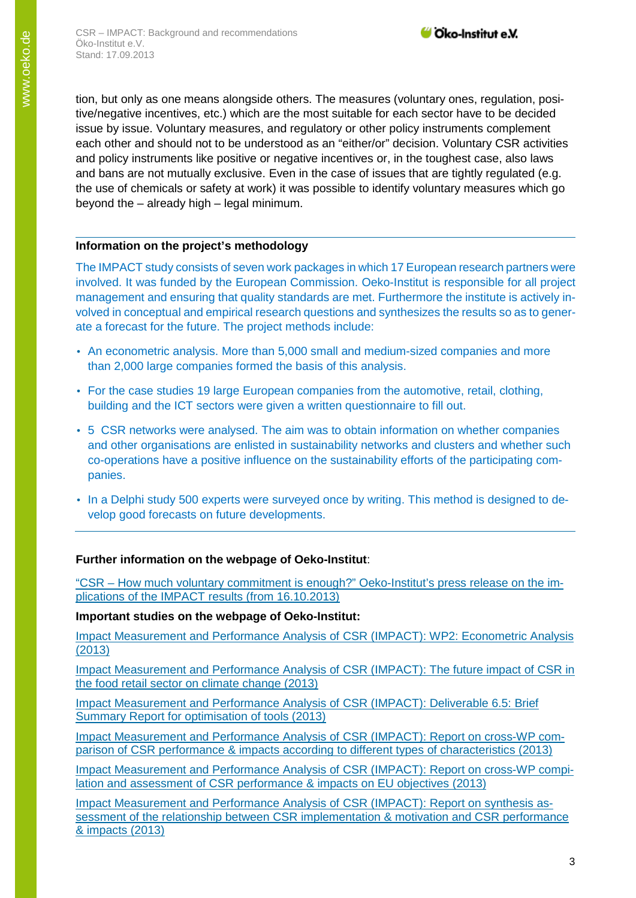tion, but only as one means alongside others. The measures (voluntary ones, regulation, positive/negative incentives, etc.) which are the most suitable for each sector have to be decided issue by issue. Voluntary measures, and regulatory or other policy instruments complement each other and should not to be understood as an "either/or" decision. Voluntary CSR activities and policy instruments like positive or negative incentives or, in the toughest case, also laws and bans are not mutually exclusive. Even in the case of issues that are tightly regulated (e.g. the use of chemicals or safety at work) it was possible to identify voluntary measures which go beyond the – already high – legal minimum.

#### **Information on the project's methodology**

The IMPACT study consists of seven work packages in which 17 European research partners were involved. It was funded by the European Commission. Oeko-Institut is responsible for all project management and ensuring that quality standards are met. Furthermore the institute is actively involved in conceptual and empirical research questions and synthesizes the results so as to generate a forecast for the future. The project methods include:

- An econometric analysis. More than 5,000 small and medium-sized companies and more than 2,000 large companies formed the basis of this analysis.
- For the case studies 19 large European companies from the automotive, retail, clothing, building and the ICT sectors were given a written questionnaire to fill out.
- 5 CSR networks were analysed. The aim was to obtain information on whether companies and other organisations are enlisted in sustainability networks and clusters and whether such co-operations have a positive influence on the sustainability efforts of the participating companies.
- In a Delphi study 500 experts were surveyed once by writing. This method is designed to develop good forecasts on future developments.

#### **Further information on the webpage of Oeko-Institut**:

"CSR – [How much voluntary commitment is enough?" Oeko-Institut's press release on the im](https://www.oeko.de/en/press/archive-press-releases/2013/csr-how-much-voluntary-commitment-is-enough/)[plications of the IMPACT results \(from 16.10.2013\)](https://www.oeko.de/en/press/archive-press-releases/2013/csr-how-much-voluntary-commitment-is-enough/)

#### **Important studies on the webpage of Oeko-Institut:**

[Impact Measurement and Performance Analysis of CSR \(IMPACT\): WP2: Econometric Analysis](http://www.oeko.de/fileadmin/aktuelles/pdfe/D2.2_Graafland_Johan_-_Smid_Hugo_-_2013._Econometric_analysis._IMPACT_Working_Paper_No._10.pdf)  [\(2013\)](http://www.oeko.de/fileadmin/aktuelles/pdfe/D2.2_Graafland_Johan_-_Smid_Hugo_-_2013._Econometric_analysis._IMPACT_Working_Paper_No._10.pdf) 

[Impact Measurement and Performance Analysis of CSR \(IMPACT\): The future impact of CSR in](http://www.oeko.de/oekodoc/2247/2015-028-en.pdf)  [the food retail sector on climate change \(2013\)](http://www.oeko.de/oekodoc/2247/2015-028-en.pdf)

[Impact Measurement and Performance Analysis of CSR \(IMPACT\): Deliverable 6.5: Brief](http://www.oeko.de/oekodoc/2246/2015-027-en.pdf)  [Summary Report for optimisation of tools \(2013\)](http://www.oeko.de/oekodoc/2246/2015-027-en.pdf)

[Impact Measurement and Performance Analysis of CSR \(IMPACT\): Report on cross-WP com](http://www.oeko.de/oekodoc/2244/2015-026-en.pdf)[parison of CSR performance & impacts according](http://www.oeko.de/oekodoc/2244/2015-026-en.pdf) to different types of characteristics (2013)

[Impact Measurement and Performance Analysis of CSR \(IMPACT\): Report on cross-WP compi](http://www.oeko.de/oekodoc/2243/2015-025-en.pdf)lation and [assessment of CSR performance & impacts on EU objectives \(2013\)](http://www.oeko.de/oekodoc/2243/2015-025-en.pdf)

[Impact Measurement and Performance Analysis of CSR \(IMPACT\): Report on synthesis as](http://www.oeko.de/oekodoc/2242/2015-024-en.pdf)[sessment of the relationship between CSR implementation & motivation and CSR performance](http://www.oeko.de/oekodoc/2242/2015-024-en.pdf)  [& impacts \(2013\)](http://www.oeko.de/oekodoc/2242/2015-024-en.pdf)